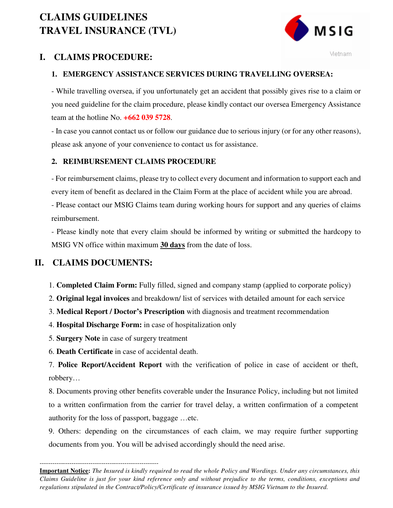# **CLAIMS GUIDELINES TRAVEL INSURANCE (TVL)**



Vietnam

## **I. CLAIMS PROCEDURE:**

### **1. EMERGENCY ASSISTANCE SERVICES DURING TRAVELLING OVERSEA:**

- While travelling oversea, if you unfortunately get an accident that possibly gives rise to a claim or you need guideline for the claim procedure, please kindly contact our oversea Emergency Assistance team at the hotline No. **+662 039 5728**.

- In case you cannot contact us or follow our guidance due to serious injury (or for any other reasons), please ask anyone of your convenience to contact us for assistance.

### **2. REIMBURSEMENT CLAIMS PROCEDURE**

- For reimbursement claims, please try to collect every document and information to support each and every item of benefit as declared in the Claim Form at the place of accident while you are abroad.

- Please contact our MSIG Claims team during working hours for support and any queries of claims reimbursement.

- Please kindly note that every claim should be informed by writing or submitted the hardcopy to MSIG VN office within maximum **30 days** from the date of loss.

## **II. CLAIMS DOCUMENTS:**

1. **Completed Claim Form:** Fully filled, signed and company stamp (applied to corporate policy)

2. **Original legal invoices** and breakdown/ list of services with detailed amount for each service

3. **Medical Report / Doctor's Prescription** with diagnosis and treatment recommendation

4. **Hospital Discharge Form:** in case of hospitalization only

5. **Surgery Note** in case of surgery treatment

6. **Death Certificate** in case of accidental death.

7. **Police Report/Accident Report** with the verification of police in case of accident or theft, robbery…

8. Documents proving other benefits coverable under the Insurance Policy, including but not limited to a written confirmation from the carrier for travel delay, a written confirmation of a competent authority for the loss of passport, baggage …etc.

9. Others: depending on the circumstances of each claim, we may require further supporting documents from you. You will be advised accordingly should the need arise.

-------------------------------------------------------- **Important Notice:** *The Insured is kindly required to read the whole Policy and Wordings. Under any circumstances, this Claims Guideline is just for your kind reference only and without prejudice to the terms, conditions, exceptions and regulations stipulated in the Contract/Policy/Certificate of insurance issued by MSIG Vietnam to the Insured.*